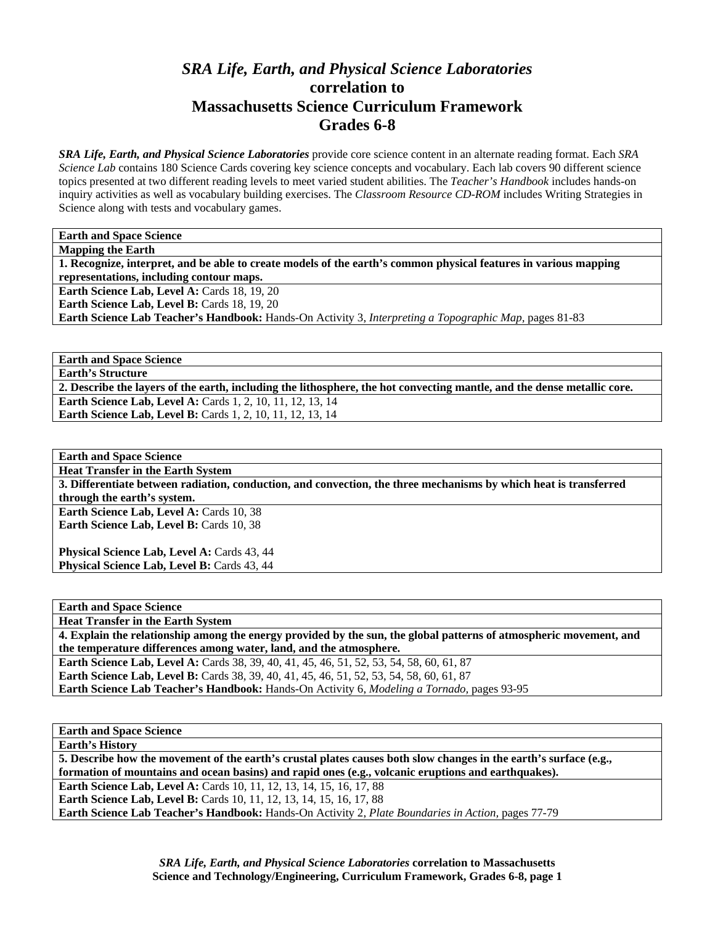## *SRA Life, Earth, and Physical Science Laboratories*  **correlation to Massachusetts Science Curriculum Framework Grades 6-8**

*SRA Life, Earth, and Physical Science Laboratories* provide core science content in an alternate reading format. Each *SRA Science Lab* contains 180 Science Cards covering key science concepts and vocabulary. Each lab covers 90 different science topics presented at two different reading levels to meet varied student abilities. The *Teacher's Handbook* includes hands-on inquiry activities as well as vocabulary building exercises. The *Classroom Resource CD-ROM* includes Writing Strategies in Science along with tests and vocabulary games.

**Earth and Space Science** 

**Mapping the Earth 1. Recognize, interpret, and be able to create models of the earth's common physical features in various mapping representations, including contour maps. Earth Science Lab, Level A: Cards 18, 19, 20 Earth Science Lab, Level B: Cards 18, 19, 20 Earth Science Lab Teacher's Handbook:** Hands-On Activity 3, *Interpreting a Topographic Map,* pages 81-83

**Earth and Space Science Earth's Structure 2. Describe the layers of the earth, including the lithosphere, the hot convecting mantle, and the dense metallic core. Earth Science Lab, Level A: Cards 1, 2, 10, 11, 12, 13, 14 Earth Science Lab, Level B:** Cards 1, 2, 10, 11, 12, 13, 14

**Earth and Space Science** 

**Heat Transfer in the Earth System** 

**3. Differentiate between radiation, conduction, and convection, the three mechanisms by which heat is transferred through the earth's system.** 

**Earth Science Lab, Level A: Cards 10, 38 Earth Science Lab, Level B: Cards 10, 38** 

Physical Science Lab, Level A: Cards 43, 44 Physical Science Lab, Level B: Cards 43, 44

**Earth and Space Science** 

**Heat Transfer in the Earth System** 

**4. Explain the relationship among the energy provided by the sun, the global patterns of atmospheric movement, and the temperature differences among water, land, and the atmosphere.** 

**Earth Science Lab, Level A:** Cards 38, 39, 40, 41, 45, 46, 51, 52, 53, 54, 58, 60, 61, 87 **Earth Science Lab, Level B:** Cards 38, 39, 40, 41, 45, 46, 51, 52, 53, 54, 58, 60, 61, 87 **Earth Science Lab Teacher's Handbook:** Hands-On Activity 6, *Modeling a Tornado,* pages 93-95

**Earth and Space Science** 

**Earth's History** 

**5. Describe how the movement of the earth's crustal plates causes both slow changes in the earth's surface (e.g., formation of mountains and ocean basins) and rapid ones (e.g., volcanic eruptions and earthquakes).** 

**Earth Science Lab, Level A: Cards 10, 11, 12, 13, 14, 15, 16, 17, 88** 

**Earth Science Lab, Level B:** Cards 10, 11, 12, 13, 14, 15, 16, 17, 88

**Earth Science Lab Teacher's Handbook:** Hands-On Activity 2, *Plate Boundaries in Action,* pages 77-79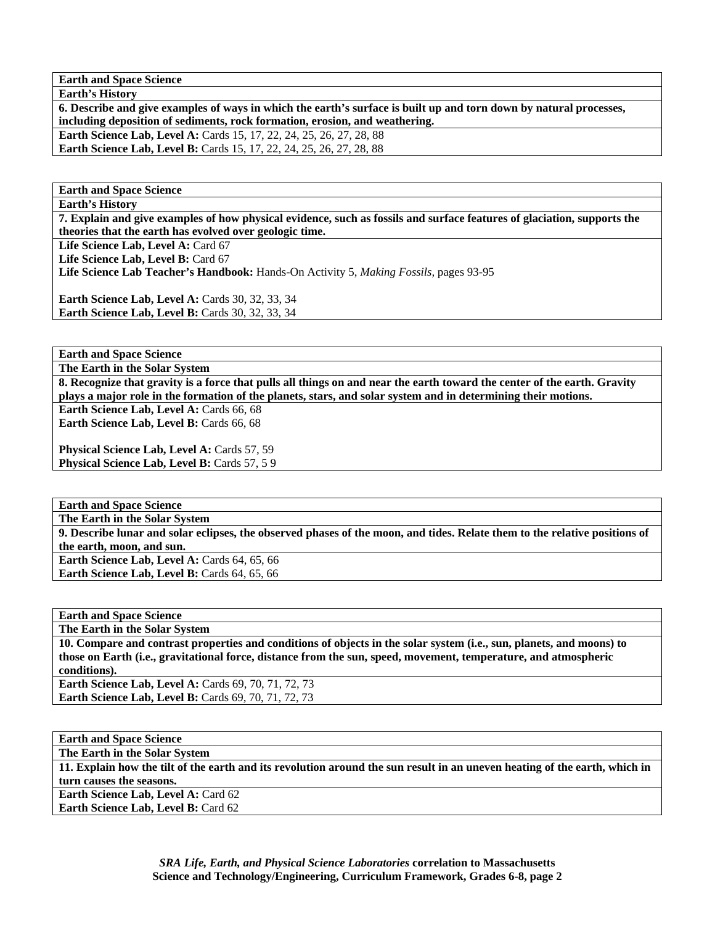**Earth and Space Science** 

**6. Describe and give examples of ways in which the earth's surface is built up and torn down by natural processes, including deposition of sediments, rock formation, erosion, and weathering.** 

**Earth Science Lab, Level A: Cards 15, 17, 22, 24, 25, 26, 27, 28, 88 Earth Science Lab, Level B:** Cards 15, 17, 22, 24, 25, 26, 27, 28, 88

**Earth and Space Science** 

**Earth's History** 

**Earth's History** 

**7. Explain and give examples of how physical evidence, such as fossils and surface features of glaciation, supports the theories that the earth has evolved over geologic time.** 

Life Science Lab, Level A: Card 67

Life Science Lab, Level B: Card 67

**Life Science Lab Teacher's Handbook:** Hands-On Activity 5, *Making Fossils,* pages 93-95

**Earth Science Lab, Level A: Cards 30, 32, 33, 34 Earth Science Lab, Level B: Cards 30, 32, 33, 34** 

**Earth and Space Science** 

**The Earth in the Solar System** 

**8. Recognize that gravity is a force that pulls all things on and near the earth toward the center of the earth. Gravity plays a major role in the formation of the planets, stars, and solar system and in determining their motions.** 

Earth Science Lab, Level A: Cards 66, 68 **Earth Science Lab, Level B: Cards 66, 68** 

Physical Science Lab, Level A: Cards 57, 59 Physical Science Lab, Level B: Cards 57, 5 9

**Earth and Space Science** 

**The Earth in the Solar System** 

**9. Describe lunar and solar eclipses, the observed phases of the moon, and tides. Relate them to the relative positions of the earth, moon, and sun.** 

Earth Science Lab, Level A: Cards 64, 65, 66 **Earth Science Lab, Level B: Cards 64, 65, 66** 

**Earth and Space Science** 

**The Earth in the Solar System** 

**10. Compare and contrast properties and conditions of objects in the solar system (i.e., sun, planets, and moons) to those on Earth (i.e., gravitational force, distance from the sun, speed, movement, temperature, and atmospheric conditions). Earth Science Lab, Level A: Cards 69, 70, 71, 72, 73** 

**Earth Science Lab, Level B: Cards 69, 70, 71, 72, 73** 

**Earth and Space Science The Earth in the Solar System 11. Explain how the tilt of the earth and its revolution around the sun result in an uneven heating of the earth, which in turn causes the seasons. Earth Science Lab, Level A: Card 62 Earth Science Lab, Level B: Card 62**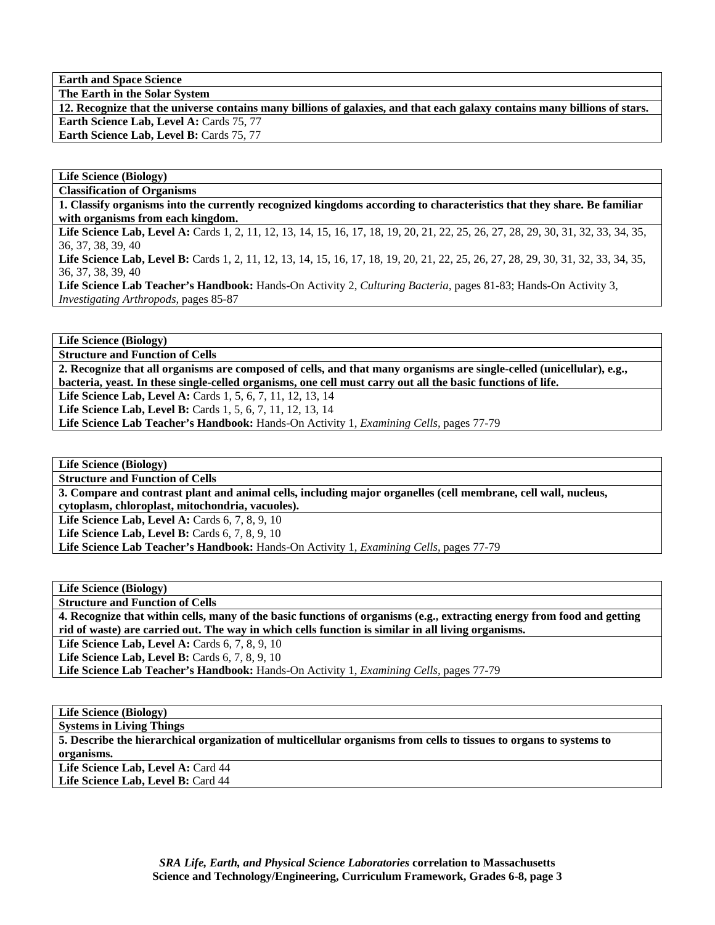**Earth and Space Science** 

**The Earth in the Solar System** 

**12. Recognize that the universe contains many billions of galaxies, and that each galaxy contains many billions of stars. Earth Science Lab, Level A: Cards 75, 77** Earth Science Lab, Level B: Cards 75, 77

**Life Science (Biology)** 

**Classification of Organisms 1. Classify organisms into the currently recognized kingdoms according to characteristics that they share. Be familiar with organisms from each kingdom.**  Life Science Lab, Level A: Cards 1, 2, 11, 12, 13, 14, 15, 16, 17, 18, 19, 20, 21, 22, 25, 26, 27, 28, 29, 30, 31, 32, 33, 34, 35, 36, 37, 38, 39, 40 Life Science Lab, Level B: Cards 1, 2, 11, 12, 13, 14, 15, 16, 17, 18, 19, 20, 21, 22, 25, 26, 27, 28, 29, 30, 31, 32, 33, 34, 35, 36, 37, 38, 39, 40 **Life Science Lab Teacher's Handbook:** Hands-On Activity 2, *Culturing Bacteria,* pages 81-83; Hands-On Activity 3, *Investigating Arthropods,* pages 85-87

**Life Science (Biology)** 

**Structure and Function of Cells** 

**2. Recognize that all organisms are composed of cells, and that many organisms are single-celled (unicellular), e.g., bacteria, yeast. In these single-celled organisms, one cell must carry out all the basic functions of life.** 

Life Science Lab, Level A: Cards 1, 5, 6, 7, 11, 12, 13, 14

**Life Science Lab, Level B:** Cards 1, 5, 6, 7, 11, 12, 13, 14

**Life Science Lab Teacher's Handbook:** Hands-On Activity 1, *Examining Cells,* pages 77-79

**Life Science (Biology)** 

**Structure and Function of Cells** 

**3. Compare and contrast plant and animal cells, including major organelles (cell membrane, cell wall, nucleus, cytoplasm, chloroplast, mitochondria, vacuoles).** 

**Life Science Lab, Level A: Cards 6, 7, 8, 9, 10** 

**Life Science Lab, Level B:** Cards 6, 7, 8, 9, 10

**Life Science Lab Teacher's Handbook:** Hands-On Activity 1, *Examining Cells,* pages 77-79

**Life Science (Biology)** 

**Structure and Function of Cells** 

**4. Recognize that within cells, many of the basic functions of organisms (e.g., extracting energy from food and getting rid of waste) are carried out. The way in which cells function is similar in all living organisms.** 

**Life Science Lab, Level A: Cards 6, 7, 8, 9, 10** 

**Life Science Lab, Level B:** Cards 6, 7, 8, 9, 10

**Life Science Lab Teacher's Handbook:** Hands-On Activity 1, *Examining Cells,* pages 77-79

**Life Science (Biology)** 

**Systems in Living Things** 

**5. Describe the hierarchical organization of multicellular organisms from cells to tissues to organs to systems to organisms.** 

Life Science Lab, Level A: Card 44 Life Science Lab, Level B: Card 44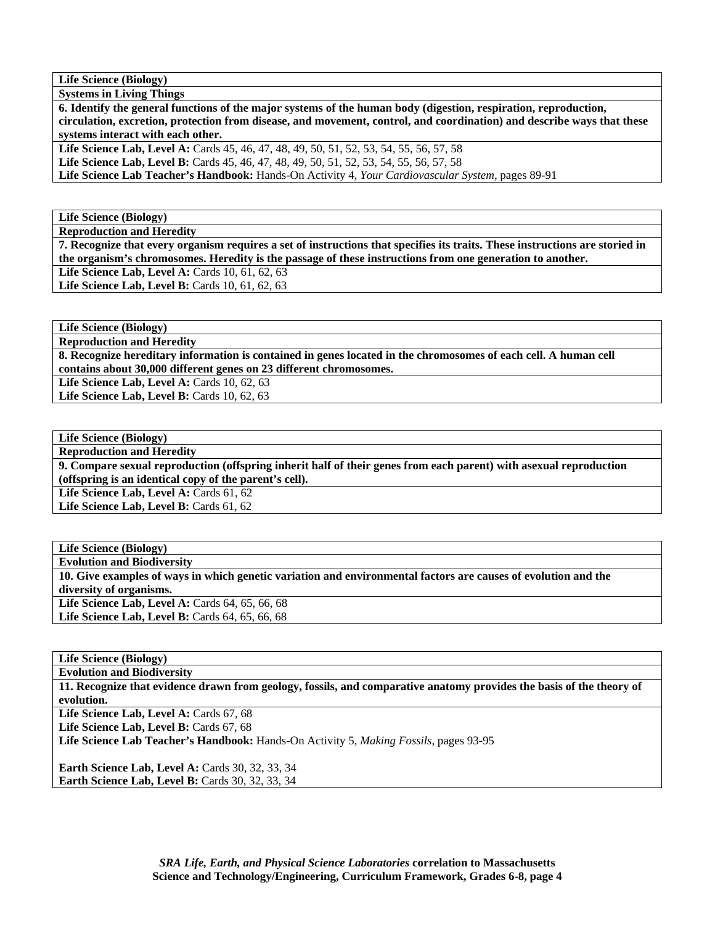**Life Science (Biology)** 

**Systems in Living Things 6. Identify the general functions of the major systems of the human body (digestion, respiration, reproduction, circulation, excretion, protection from disease, and movement, control, and coordination) and describe ways that these** 

**systems interact with each other.** 

Life Science Lab, Level A: Cards 45, 46, 47, 48, 49, 50, 51, 52, 53, 54, 55, 56, 57, 58

**Life Science Lab, Level B:** Cards 45, 46, 47, 48, 49, 50, 51, 52, 53, 54, 55, 56, 57, 58

**Life Science Lab Teacher's Handbook:** Hands-On Activity 4, *Your Cardiovascular System,* pages 89-91

**Life Science (Biology)** 

**Reproduction and Heredity** 

**7. Recognize that every organism requires a set of instructions that specifies its traits. These instructions are storied in the organism's chromosomes. Heredity is the passage of these instructions from one generation to another.** 

**Life Science Lab, Level A:** Cards 10, 61, 62, 63 Life Science Lab, Level B: Cards 10, 61, 62, 63

**Life Science (Biology)** 

**Reproduction and Heredity** 

**8. Recognize hereditary information is contained in genes located in the chromosomes of each cell. A human cell contains about 30,000 different genes on 23 different chromosomes.** 

**Life Science Lab, Level A: Cards 10, 62, 63 Life Science Lab, Level B:** Cards 10, 62, 63

**Life Science (Biology)** 

**Reproduction and Heredity** 

**9. Compare sexual reproduction (offspring inherit half of their genes from each parent) with asexual reproduction (offspring is an identical copy of the parent's cell).** 

Life Science Lab, Level A: Cards 61, 62 Life Science Lab, Level B: Cards 61, 62

**Life Science (Biology) Evolution and Biodiversity 10. Give examples of ways in which genetic variation and environmental factors are causes of evolution and the diversity of organisms.**  Life Science Lab, Level A: Cards 64, 65, 66, 68 Life Science Lab, Level B: Cards 64, 65, 66, 68

**Life Science (Biology)** 

**Evolution and Biodiversity** 

**11. Recognize that evidence drawn from geology, fossils, and comparative anatomy provides the basis of the theory of evolution.** 

Life Science Lab, Level A: Cards 67, 68

Life Science Lab, Level B: Cards 67, 68

**Life Science Lab Teacher's Handbook:** Hands-On Activity 5, *Making Fossils,* pages 93-95

**Earth Science Lab, Level A: Cards 30, 32, 33, 34 Earth Science Lab, Level B: Cards 30, 32, 33, 34**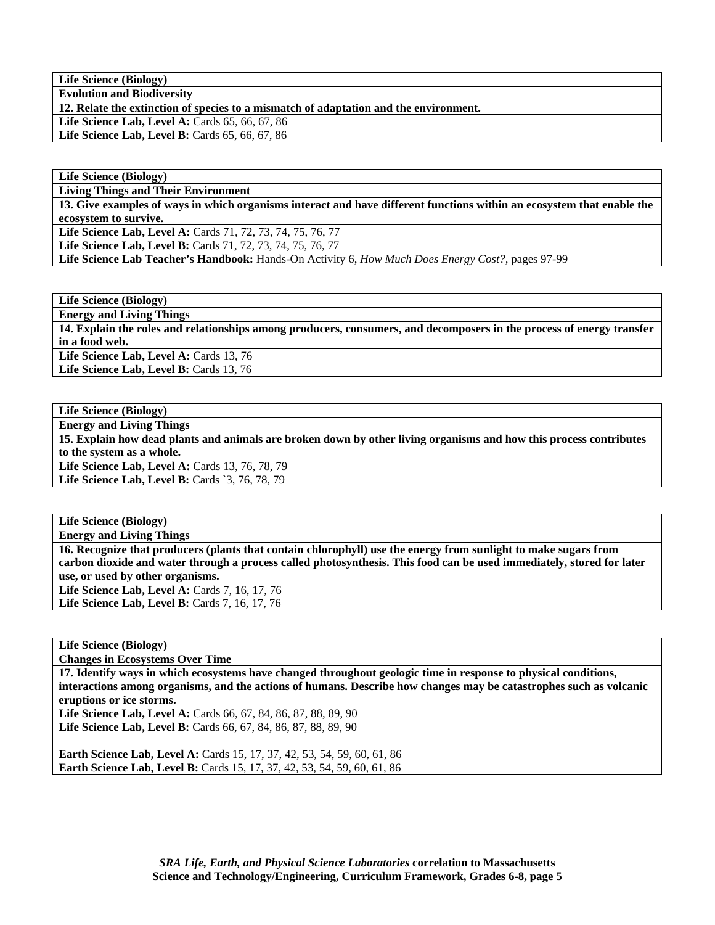**Life Science (Biology) Evolution and Biodiversity** 

**12. Relate the extinction of species to a mismatch of adaptation and the environment.** 

Life Science Lab, Level A: Cards 65, 66, 67, 86

Life Science Lab, Level B: Cards 65, 66, 67, 86

**Life Science (Biology)** 

**Living Things and Their Environment** 

**13. Give examples of ways in which organisms interact and have different functions within an ecosystem that enable the ecosystem to survive.** 

**Life Science Lab, Level A:** Cards 71, 72, 73, 74, 75, 76, 77

**Life Science Lab, Level B:** Cards 71, 72, 73, 74, 75, 76, 77

**Life Science Lab Teacher's Handbook:** Hands-On Activity 6, *How Much Does Energy Cost?,* pages 97-99

**Life Science (Biology)** 

**Energy and Living Things** 

**14. Explain the roles and relationships among producers, consumers, and decomposers in the process of energy transfer in a food web.** 

Life Science Lab, Level A: Cards 13, 76 Life Science Lab, Level B: Cards 13, 76

**Life Science (Biology) Energy and Living Things 15. Explain how dead plants and animals are broken down by other living organisms and how this process contributes to the system as a whole.**  Life Science Lab, Level A: Cards 13, 76, 78, 79 Life Science Lab, Level B: Cards `3, 76, 78, 79

**Life Science (Biology)** 

**Energy and Living Things** 

**16. Recognize that producers (plants that contain chlorophyll) use the energy from sunlight to make sugars from carbon dioxide and water through a process called photosynthesis. This food can be used immediately, stored for later use, or used by other organisms.** 

**Life Science Lab, Level A:** Cards 7, 16, 17, 76 **Life Science Lab, Level B: Cards 7, 16, 17, 76** 

**Life Science (Biology)** 

**Changes in Ecosystems Over Time** 

**17. Identify ways in which ecosystems have changed throughout geologic time in response to physical conditions, interactions among organisms, and the actions of humans. Describe how changes may be catastrophes such as volcanic eruptions or ice storms.** 

**Life Science Lab, Level A:** Cards 66, 67, 84, 86, 87, 88, 89, 90 **Life Science Lab, Level B:** Cards 66, 67, 84, 86, 87, 88, 89, 90

**Earth Science Lab, Level A: Cards 15, 17, 37, 42, 53, 54, 59, 60, 61, 86 Earth Science Lab, Level B:** Cards 15, 17, 37, 42, 53, 54, 59, 60, 61, 86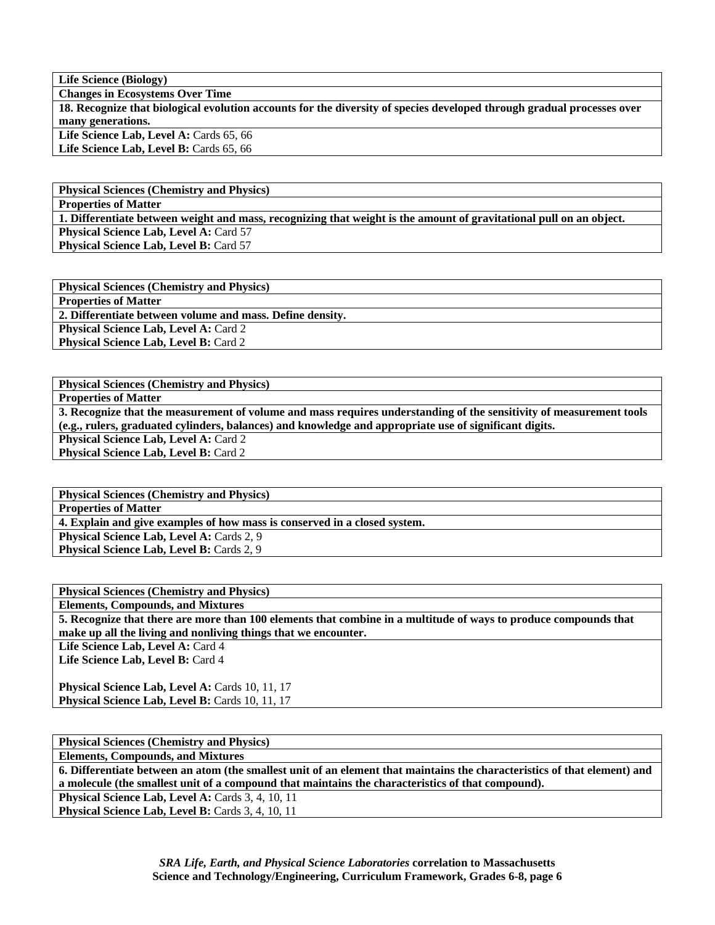**Life Science (Biology)** 

**Changes in Ecosystems Over Time** 

**18. Recognize that biological evolution accounts for the diversity of species developed through gradual processes over many generations.** 

Life Science Lab, Level A: Cards 65, 66 Life Science Lab, Level B: Cards 65, 66

**Physical Sciences (Chemistry and Physics) Properties of Matter 1. Differentiate between weight and mass, recognizing that weight is the amount of gravitational pull on an object.** 

**Physical Science Lab, Level A: Card 57 Physical Science Lab, Level B: Card 57** 

**Physical Sciences (Chemistry and Physics) Properties of Matter 2. Differentiate between volume and mass. Define density. Physical Science Lab, Level A: Card 2 Physical Science Lab, Level B: Card 2** 

**Physical Sciences (Chemistry and Physics)** 

**Properties of Matter** 

**3. Recognize that the measurement of volume and mass requires understanding of the sensitivity of measurement tools (e.g., rulers, graduated cylinders, balances) and knowledge and appropriate use of significant digits. Physical Science Lab, Level A: Card 2 Physical Science Lab, Level B: Card 2** 

**Physical Sciences (Chemistry and Physics) Properties of Matter 4. Explain and give examples of how mass is conserved in a closed system. Physical Science Lab, Level A: Cards 2, 9** Physical Science Lab, Level B: Cards 2, 9

**Physical Sciences (Chemistry and Physics) Elements, Compounds, and Mixtures 5. Recognize that there are more than 100 elements that combine in a multitude of ways to produce compounds that make up all the living and nonliving things that we encounter.**  Life Science Lab, Level A: Card 4 Life Science Lab, Level B: Card 4

Physical Science Lab, Level A: Cards 10, 11, 17 Physical Science Lab, Level B: Cards 10, 11, 17

**Physical Sciences (Chemistry and Physics)** 

**Elements, Compounds, and Mixtures** 

**6. Differentiate between an atom (the smallest unit of an element that maintains the characteristics of that element) and a molecule (the smallest unit of a compound that maintains the characteristics of that compound).**  Physical Science Lab, Level A: Cards 3, 4, 10, 11 Physical Science Lab, Level B: Cards 3, 4, 10, 11

> *SRA Life, Earth, and Physical Science Laboratories* **correlation to Massachusetts Science and Technology/Engineering, Curriculum Framework, Grades 6-8, page 6**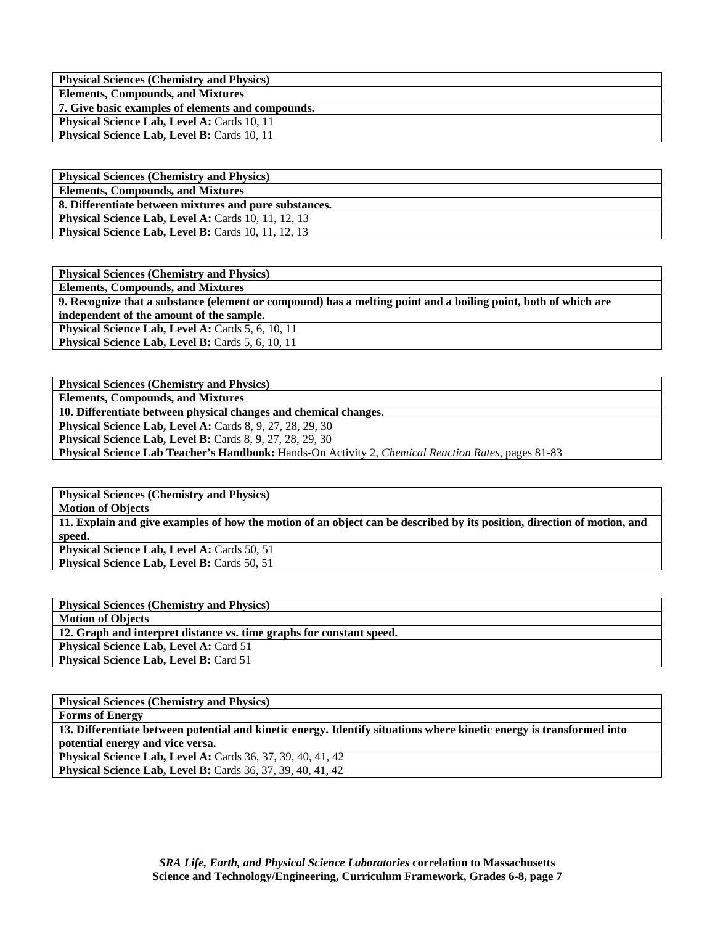| <b>Physical Sciences (Chemistry and Physics)</b>   |
|----------------------------------------------------|
| <b>Elements, Compounds, and Mixtures</b>           |
| 7. Give basic examples of elements and compounds.  |
| <b>Physical Science Lab, Level A: Cards 10, 11</b> |
| <b>Physical Science Lab, Level B: Cards 10, 11</b> |

| <b>Physical Sciences (Chemistry and Physics)</b>           |
|------------------------------------------------------------|
| <b>Elements, Compounds, and Mixtures</b>                   |
| 8. Differentiate between mixtures and pure substances.     |
| <b>Physical Science Lab, Level A: Cards 10, 11, 12, 13</b> |
| <b>Physical Science Lab, Level B:</b> Cards 10, 11, 12, 13 |

| <b>Physical Sciences (Chemistry and Physics)</b>                                                               |
|----------------------------------------------------------------------------------------------------------------|
| <b>Elements, Compounds, and Mixtures</b>                                                                       |
| 9. Recognize that a substance (element or compound) has a melting point and a boiling point, both of which are |
| independent of the amount of the sample.                                                                       |
| <b>Physical Science Lab, Level A: Cards 5, 6, 10, 11</b>                                                       |
| <b>Physical Science Lab, Level B:</b> Cards 5, 6, 10, 11                                                       |
|                                                                                                                |

**Physical Sciences (Chemistry and Physics) Elements, Compounds, and Mixtures** 

**10. Differentiate between physical changes and chemical changes.** 

**Physical Science Lab, Level A:** Cards 8, 9, 27, 28, 29, 30

**Physical Science Lab, Level B:** Cards 8, 9, 27, 28, 29, 30

**Physical Science Lab Teacher's Handbook:** Hands-On Activity 2, *Chemical Reaction Rates,* pages 81-83

| <b>Physical Sciences (Chemistry and Physics)</b>                                                                        |
|-------------------------------------------------------------------------------------------------------------------------|
| <b>Motion of Objects</b>                                                                                                |
| 11. Explain and give examples of how the motion of an object can be described by its position, direction of motion, and |
| speed.                                                                                                                  |
| <b>Physical Science Lab, Level A: Cards 50, 51</b>                                                                      |
| <b>Physical Science Lab, Level B: Cards 50, 51</b>                                                                      |

| <b>Physical Sciences (Chemistry and Physics)</b>                     |
|----------------------------------------------------------------------|
| <b>Motion of Objects</b>                                             |
| 12. Graph and interpret distance vs. time graphs for constant speed. |
| <b>Physical Science Lab, Level A: Card 51</b>                        |
| <b>Physical Science Lab, Level B: Card 51</b>                        |

| <b>Physical Sciences (Chemistry and Physics)</b>                                                                     |
|----------------------------------------------------------------------------------------------------------------------|
| <b>Forms of Energy</b>                                                                                               |
| 13. Differentiate between potential and kinetic energy. Identify situations where kinetic energy is transformed into |
| potential energy and vice versa.                                                                                     |
| Physical Science Lab, Level A: Cards 36, 37, 39, 40, 41, 42                                                          |
| <b>Physical Science Lab, Level B:</b> Cards 36, 37, 39, 40, 41, 42                                                   |
|                                                                                                                      |